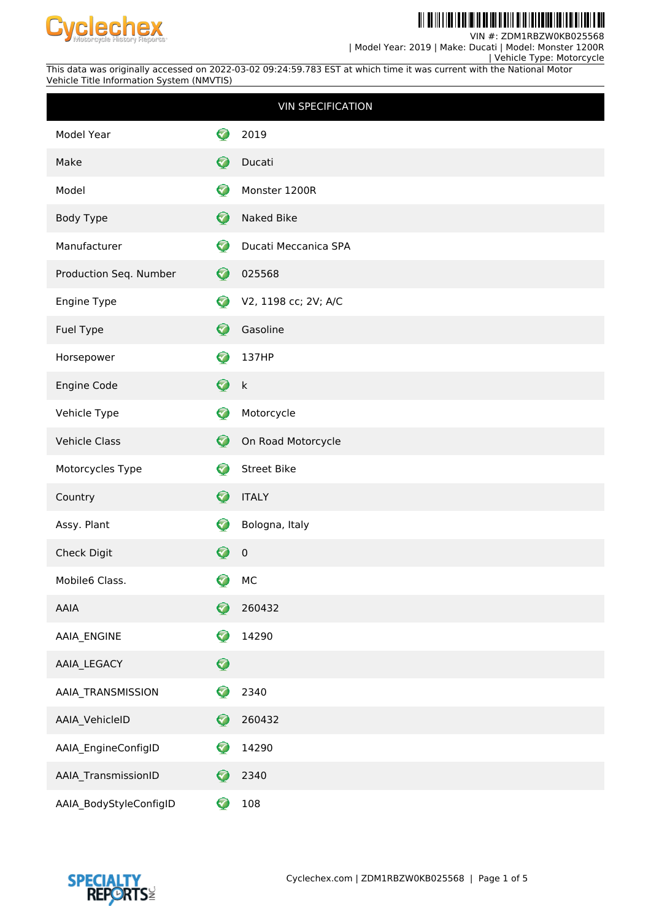

<u> Ali do no indica do no no mino de maio di locali</u> H

VIN #: ZDM1RBZW0KB025568 | Model Year: 2019 | Make: Ducati | Model: Monster 1200R

| Vehicle Type: Motorcycle

This data was originally accessed on 2022-03-02 09:24:59.783 EST at which time it was current with the National Motor Vehicle Title Information System (NMVTIS)

|                        |             | <b>VIN SPECIFICATION</b> |
|------------------------|-------------|--------------------------|
| Model Year             | ✓           | 2019                     |
| Make                   | Ø           | Ducati                   |
| Model                  | ♡           | Monster 1200R            |
| Body Type              | $\bullet$   | Naked Bike               |
| Manufacturer           | ♡           | Ducati Meccanica SPA     |
| Production Seq. Number | Ø           | 025568                   |
| Engine Type            | Ø           | V2, 1198 cc; 2V; A/C     |
| Fuel Type              | Ø           | Gasoline                 |
| Horsepower             | Ø           | 137HP                    |
| Engine Code            | $\bullet$   | k                        |
| Vehicle Type           | ❤           | Motorcycle               |
| <b>Vehicle Class</b>   | $\bullet$   | On Road Motorcycle       |
| Motorcycles Type       | Ø           | <b>Street Bike</b>       |
| Country                | Ø           | <b>ITALY</b>             |
| Assy. Plant            | Ø           | Bologna, Italy           |
| Check Digit            | 0           | $\pmb{0}$                |
| Mobile6 Class.         | 0           | MC                       |
| AAIA                   | Q           | 260432                   |
| AAIA_ENGINE            | €           | 14290                    |
| AAIA_LEGACY            | $\mathbf Q$ |                          |
| AAIA_TRANSMISSION      | $\bullet$   | 2340                     |
| AAIA_VehicleID         | Ø           | 260432                   |
| AAIA_EngineConfigID    | Ø           | 14290                    |
| AAIA_TransmissionID    | Ø           | 2340                     |
| AAIA_BodyStyleConfigID | ❤           | 108                      |

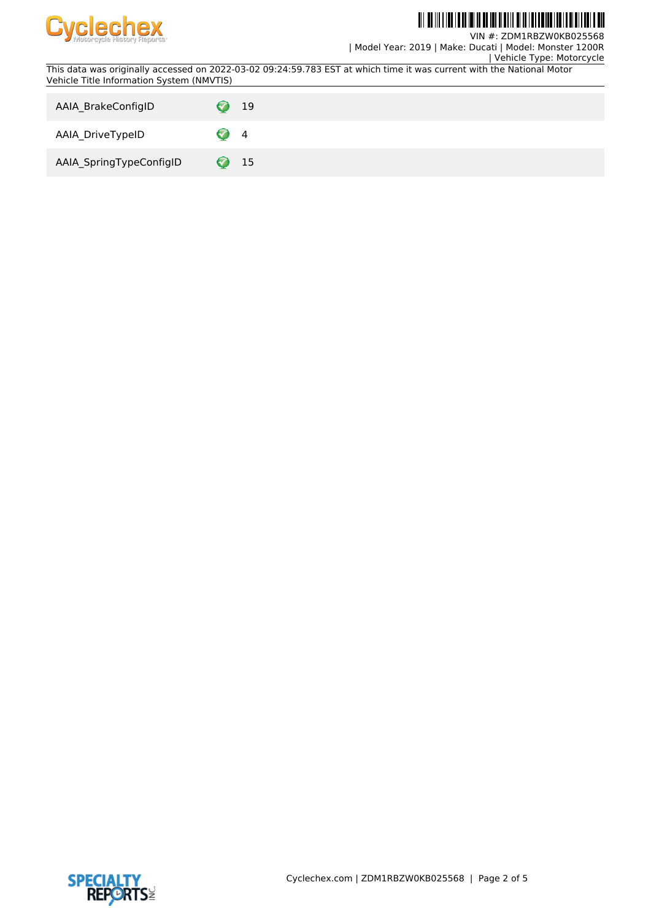

# <u> Ali da wa i wa ina katika ilaya wakati ni katika m</u>

VIN #: ZDM1RBZW0KB025568 | Model Year: 2019 | Make: Ducati | Model: Monster 1200R

| Vehicle Type: Motorcycle

This data was originally accessed on 2022-03-02 09:24:59.783 EST at which time it was current with the National Motor Vehicle Title Information System (NMVTIS)

| AAIA BrakeConfigID      | 19              |
|-------------------------|-----------------|
| AAIA_DriveTypeID        | $\overline{4}$  |
| AAIA_SpringTypeConfigID | 15<br>$\bullet$ |

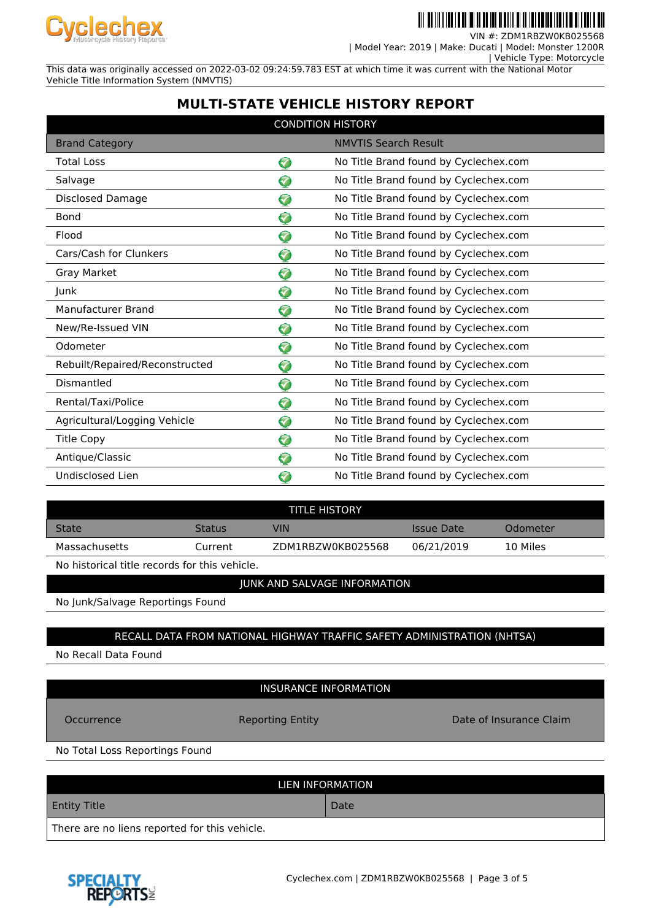

VIN #: ZDM1RBZW0 | Model Year: 2019 | Make: Ducati | Model: Monster 1200R

| Vehicle Type: Motorcycle

This data was originally accessed on 2022-03-02 09:24:59.783 EST at which time it was current with the National Motor Vehicle Title Information System (NMVTIS)

## **MULTI-STATE VEHICLE HISTORY REPORT**

| <b>CONDITION HISTORY</b>       |           |                                       |  |
|--------------------------------|-----------|---------------------------------------|--|
| <b>Brand Category</b>          |           | <b>NMVTIS Search Result</b>           |  |
| <b>Total Loss</b>              | ❤         | No Title Brand found by Cyclechex.com |  |
| Salvage                        | 3         | No Title Brand found by Cyclechex.com |  |
| Disclosed Damage               | Ø         | No Title Brand found by Cyclechex.com |  |
| <b>Bond</b>                    | 7         | No Title Brand found by Cyclechex.com |  |
| Flood                          | ❤         | No Title Brand found by Cyclechex.com |  |
| Cars/Cash for Clunkers         | $\bullet$ | No Title Brand found by Cyclechex.com |  |
| Gray Market                    | ଚ         | No Title Brand found by Cyclechex.com |  |
| Junk                           | ❤         | No Title Brand found by Cyclechex.com |  |
| Manufacturer Brand             | ❤         | No Title Brand found by Cyclechex.com |  |
| New/Re-Issued VIN              | 3         | No Title Brand found by Cyclechex.com |  |
| Odometer                       | 3         | No Title Brand found by Cyclechex.com |  |
| Rebuilt/Repaired/Reconstructed | 0         | No Title Brand found by Cyclechex.com |  |
| Dismantled                     | ❤         | No Title Brand found by Cyclechex.com |  |
| Rental/Taxi/Police             | ❤         | No Title Brand found by Cyclechex.com |  |
| Agricultural/Logging Vehicle   | ❤         | No Title Brand found by Cyclechex.com |  |
| <b>Title Copy</b>              | ❤         | No Title Brand found by Cyclechex.com |  |
| Antique/Classic                | ♡         | No Title Brand found by Cyclechex.com |  |
| Undisclosed Lien               | Ø         | No Title Brand found by Cyclechex.com |  |

|               |               | <b>TITLE HISTORY</b> |            |          |
|---------------|---------------|----------------------|------------|----------|
| <b>State</b>  | <b>Status</b> | VIN                  | Issue Date | Odometer |
| Massachusetts | Current       | ZDM1RBZW0KB025568    | 06/21/2019 | 10 Miles |
|               | .             |                      |            |          |

No historical title records for this vehicle.

#### JUNK AND SALVAGE INFORMATION

No Junk/Salvage Reportings Found

### RECALL DATA FROM NATIONAL HIGHWAY TRAFFIC SAFETY ADMINISTRATION (NHTSA)

No Recall Data Found

### INSURANCE INFORMATION

Occurrence **Reporting Entity Reporting Entity Date of Insurance Claim** 

No Total Loss Reportings Found

| LIEN INFORMATION                              |      |  |  |  |
|-----------------------------------------------|------|--|--|--|
| <b>Entity Title</b>                           | Date |  |  |  |
| There are no liens reported for this vehicle. |      |  |  |  |

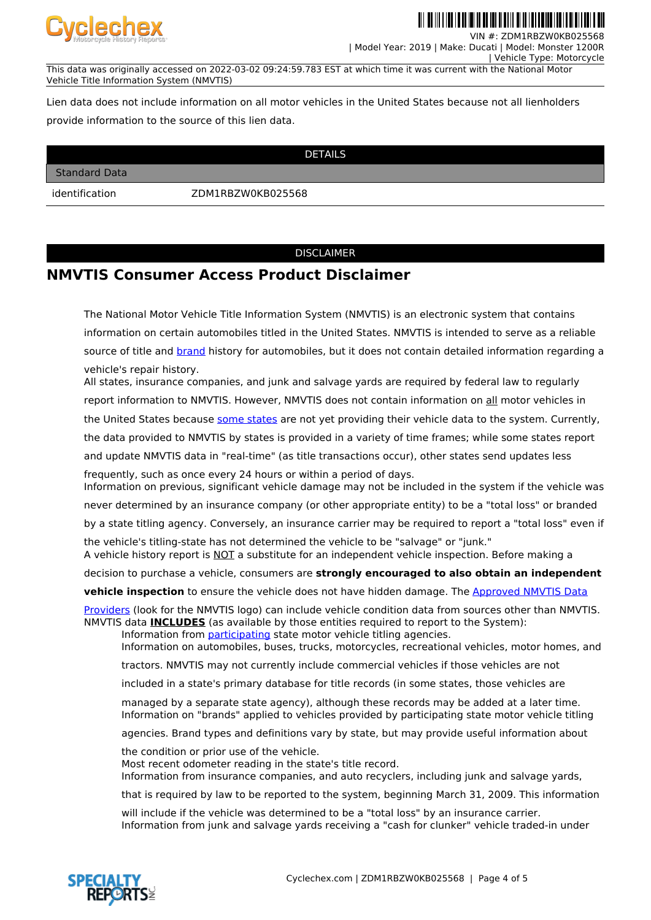

VIN #: ZDM1RBZW0KB025568 | Model Year: 2019 | Make: Ducati | Model: Monster 1200R

<u> III III III III III II II II II </u>

| Vehicle Type: Motorcycle

This data was originally accessed on 2022-03-02 09:24:59.783 EST at which time it was current with the National Motor Vehicle Title Information System (NMVTIS)

Lien data does not include information on all motor vehicles in the United States because not all lienholders provide information to the source of this lien data.

|                      | <b>DETAILS</b>    |  |
|----------------------|-------------------|--|
| <b>Standard Data</b> |                   |  |
| identification       | ZDM1RBZW0KB025568 |  |

#### DISCLAIMER

## **NMVTIS Consumer Access Product Disclaimer**

The National Motor Vehicle Title Information System (NMVTIS) is an electronic system that contains information on certain automobiles titled in the United States. NMVTIS is intended to serve as a reliable source of title and **brand** history for automobiles, but it does not contain detailed information regarding a vehicle's repair history.

All states, insurance companies, and junk and salvage yards are required by federal law to regularly report information to NMVTIS. However, NMVTIS does not contain information on all motor vehicles in the United States because [some states](https://vehiclehistory.bja.ojp.gov/nmvtis_states) are not yet providing their vehicle data to the system. Currently, the data provided to NMVTIS by states is provided in a variety of time frames; while some states report and update NMVTIS data in "real-time" (as title transactions occur), other states send updates less

frequently, such as once every 24 hours or within a period of days. Information on previous, significant vehicle damage may not be included in the system if the vehicle was

never determined by an insurance company (or other appropriate entity) to be a "total loss" or branded

by a state titling agency. Conversely, an insurance carrier may be required to report a "total loss" even if

the vehicle's titling-state has not determined the vehicle to be "salvage" or "junk." A vehicle history report is NOT a substitute for an independent vehicle inspection. Before making a

decision to purchase a vehicle, consumers are **strongly encouraged to also obtain an independent**

**vehicle inspection** to ensure the vehicle does not have hidden damage. The [Approved NMVTIS Data](https://vehiclehistory.bja.ojp.gov/nmvtis_vehiclehistory)

[Providers](https://vehiclehistory.bja.ojp.gov/nmvtis_vehiclehistory) (look for the NMVTIS logo) can include vehicle condition data from sources other than NMVTIS. NMVTIS data **INCLUDES** (as available by those entities required to report to the System):

Information from [participating](https://vehiclehistory.bja.ojp.gov/nmvtis_states) state motor vehicle titling agencies. Information on automobiles, buses, trucks, motorcycles, recreational vehicles, motor homes, and

tractors. NMVTIS may not currently include commercial vehicles if those vehicles are not

included in a state's primary database for title records (in some states, those vehicles are

managed by a separate state agency), although these records may be added at a later time. Information on "brands" applied to vehicles provided by participating state motor vehicle titling

agencies. Brand types and definitions vary by state, but may provide useful information about

the condition or prior use of the vehicle.

Most recent odometer reading in the state's title record.

Information from insurance companies, and auto recyclers, including junk and salvage yards,

that is required by law to be reported to the system, beginning March 31, 2009. This information

will include if the vehicle was determined to be a "total loss" by an insurance carrier. Information from junk and salvage yards receiving a "cash for clunker" vehicle traded-in under